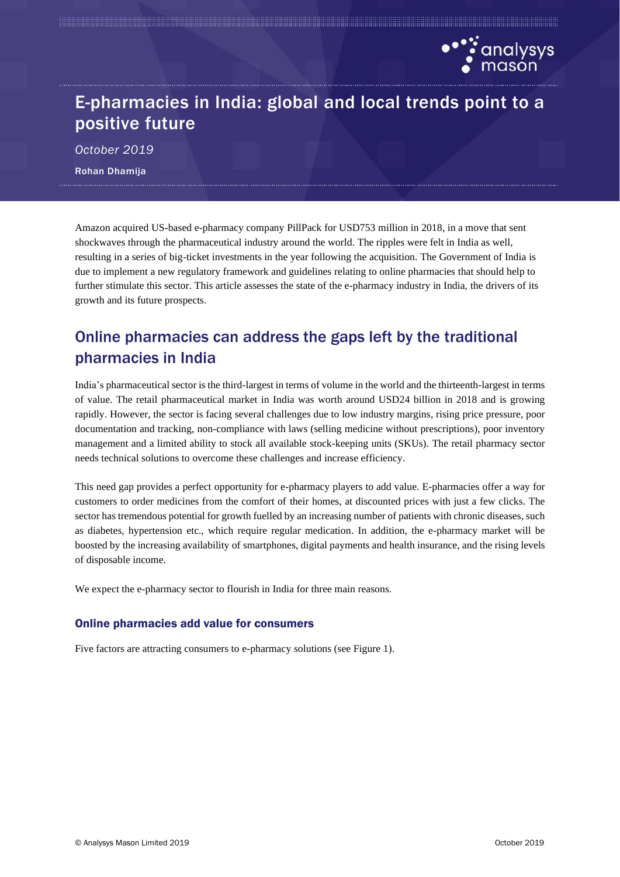

# E-pharmacies in India: global and local trends point to a positive future

*October 2019* Rohan Dhamija

Amazon acquired US-based e-pharmacy company PillPack for USD753 million in 2018, in a move that sent shockwaves through the pharmaceutical industry around the world. The ripples were felt in India as well, resulting in a series of big-ticket investments in the year following the acquisition. The Government of India is due to implement a new regulatory framework and guidelines relating to online pharmacies that should help to further stimulate this sector. This article assesses the state of the e-pharmacy industry in India, the drivers of its growth and its future prospects.

## Online pharmacies can address the gaps left by the traditional pharmacies in India

India's pharmaceutical sector is the third-largest in terms of volume in the world and the thirteenth-largest in terms of value. The retail pharmaceutical market in India was worth around USD24 billion in 2018 and is growing rapidly. However, the sector is facing several challenges due to low industry margins, rising price pressure, poor documentation and tracking, non-compliance with laws (selling medicine without prescriptions), poor inventory management and a limited ability to stock all available stock-keeping units (SKUs). The retail pharmacy sector needs technical solutions to overcome these challenges and increase efficiency.

This need gap provides a perfect opportunity for e-pharmacy players to add value. E-pharmacies offer a way for customers to order medicines from the comfort of their homes, at discounted prices with just a few clicks. The sector has tremendous potential for growth fuelled by an increasing number of patients with chronic diseases, such as diabetes, hypertension etc., which require regular medication. In addition, the e-pharmacy market will be boosted by the increasing availability of smartphones, digital payments and health insurance, and the rising levels of disposable income.

We expect the e-pharmacy sector to flourish in India for three main reasons.

#### Online pharmacies add value for consumers

Five factors are attracting consumers to e-pharmacy solutions (see Figure 1).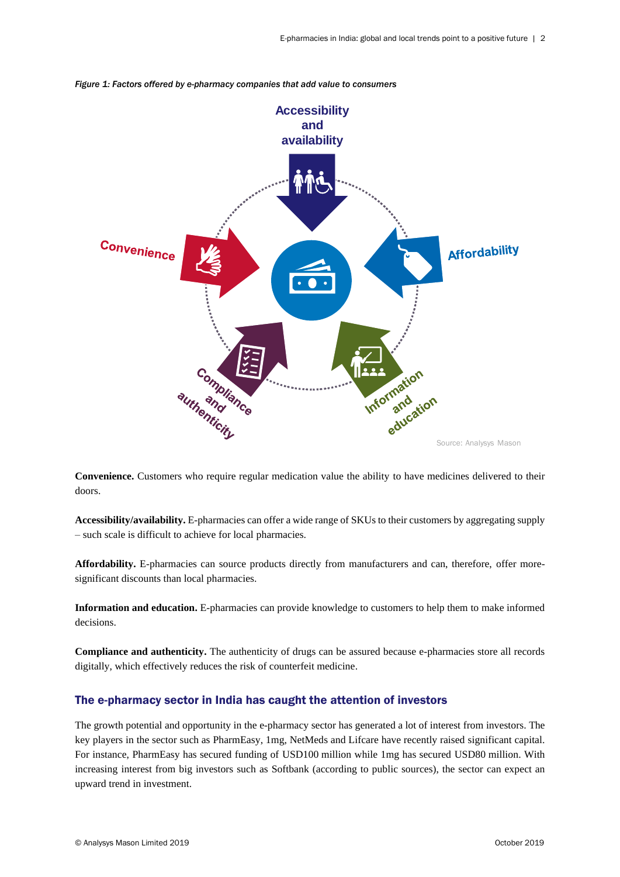

*Figure 1: Factors offered by e-pharmacy companies that add value to consumers*

**Convenience.** Customers who require regular medication value the ability to have medicines delivered to their doors.

**Accessibility/availability.** E-pharmacies can offer a wide range of SKUs to their customers by aggregating supply – such scale is difficult to achieve for local pharmacies.

**Affordability.** E-pharmacies can source products directly from manufacturers and can, therefore, offer moresignificant discounts than local pharmacies.

**Information and education.** E-pharmacies can provide knowledge to customers to help them to make informed decisions.

**Compliance and authenticity.** The authenticity of drugs can be assured because e-pharmacies store all records digitally, which effectively reduces the risk of counterfeit medicine.

### The e-pharmacy sector in India has caught the attention of investors

The growth potential and opportunity in the e-pharmacy sector has generated a lot of interest from investors. The key players in the sector such as PharmEasy, 1mg, NetMeds and Lifcare have recently raised significant capital. For instance, PharmEasy has secured funding of USD100 million while 1mg has secured USD80 million. With increasing interest from big investors such as Softbank (according to public sources), the sector can expect an upward trend in investment.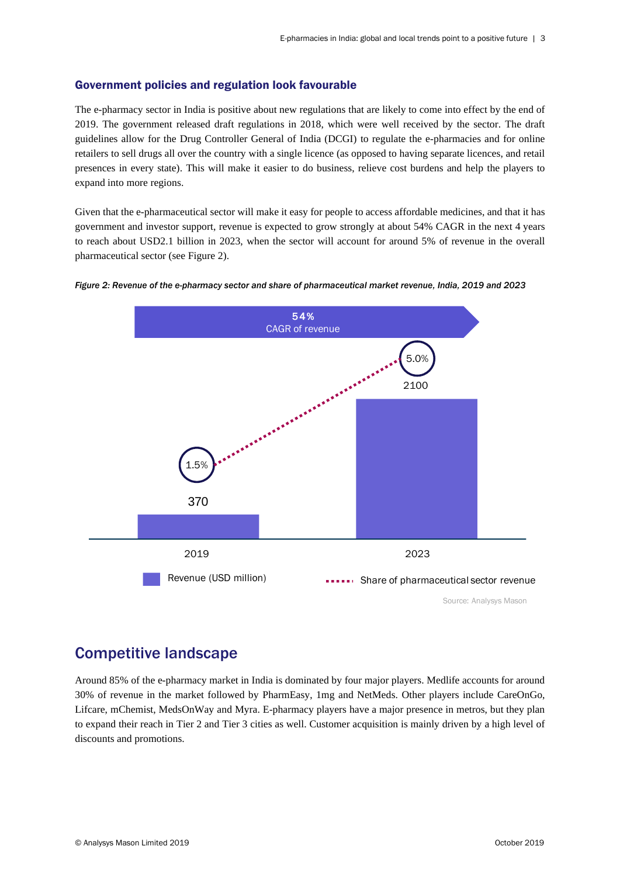#### Government policies and regulation look favourable

The e-pharmacy sector in India is positive about new regulations that are likely to come into effect by the end of 2019. The government released draft regulations in 2018, which were well received by the sector. The draft guidelines allow for the Drug Controller General of India (DCGI) to regulate the e-pharmacies and for online retailers to sell drugs all over the country with a single licence (as opposed to having separate licences, and retail presences in every state). This will make it easier to do business, relieve cost burdens and help the players to expand into more regions.

Given that the e-pharmaceutical sector will make it easy for people to access affordable medicines, and that it has government and investor support, revenue is expected to grow strongly at about 54% CAGR in the next 4 years to reach about USD2.1 billion in 2023, when the sector will account for around 5% of revenue in the overall pharmaceutical sector (see Figure 2).



#### *Figure 2: Revenue of the e-pharmacy sector and share of pharmaceutical market revenue, India, 2019 and 2023*

### Competitive landscape

Around 85% of the e-pharmacy market in India is dominated by four major players. Medlife accounts for around 30% of revenue in the market followed by PharmEasy, 1mg and NetMeds. Other players include CareOnGo, Lifcare, mChemist, MedsOnWay and Myra. E-pharmacy players have a major presence in metros, but they plan to expand their reach in Tier 2 and Tier 3 cities as well. Customer acquisition is mainly driven by a high level of discounts and promotions.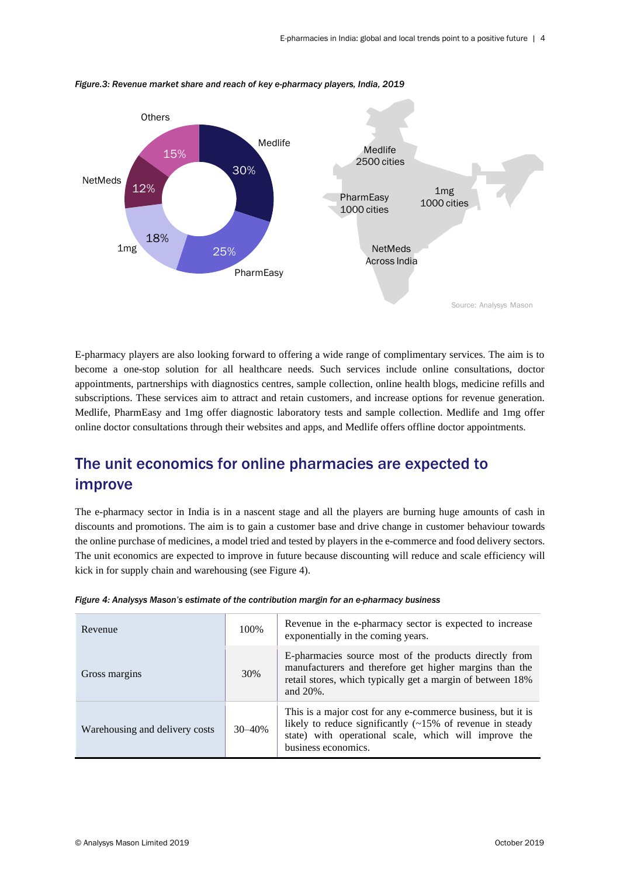

*Figure.3: Revenue market share and reach of key e-pharmacy players, India, 2019*

E-pharmacy players are also looking forward to offering a wide range of complimentary services. The aim is to become a one-stop solution for all healthcare needs. Such services include online consultations, doctor appointments, partnerships with diagnostics centres, sample collection, online health blogs, medicine refills and subscriptions. These services aim to attract and retain customers, and increase options for revenue generation. Medlife, PharmEasy and 1mg offer diagnostic laboratory tests and sample collection. Medlife and 1mg offer online doctor consultations through their websites and apps, and Medlife offers offline doctor appointments.

## The unit economics for online pharmacies are expected to improve

The e-pharmacy sector in India is in a nascent stage and all the players are burning huge amounts of cash in discounts and promotions. The aim is to gain a customer base and drive change in customer behaviour towards the online purchase of medicines, a model tried and tested by players in the e-commerce and food delivery sectors. The unit economics are expected to improve in future because discounting will reduce and scale efficiency will kick in for supply chain and warehousing (see Figure 4).

| Revenue                        | 100%       | Revenue in the e-pharmacy sector is expected to increase<br>exponentially in the coming years.                                                                                                                  |
|--------------------------------|------------|-----------------------------------------------------------------------------------------------------------------------------------------------------------------------------------------------------------------|
| Gross margins                  | 30%        | E-pharmacies source most of the products directly from<br>manufacturers and therefore get higher margins than the<br>retail stores, which typically get a margin of between 18%<br>and 20%.                     |
| Warehousing and delivery costs | $30 - 40%$ | This is a major cost for any e-commerce business, but it is<br>likely to reduce significantly $(\sim 15\%$ of revenue in steady<br>state) with operational scale, which will improve the<br>business economics. |

|  |  |  |  | Figure 4: Analysys Mason's estimate of the contribution margin for an e-pharmacy business |  |
|--|--|--|--|-------------------------------------------------------------------------------------------|--|
|  |  |  |  |                                                                                           |  |